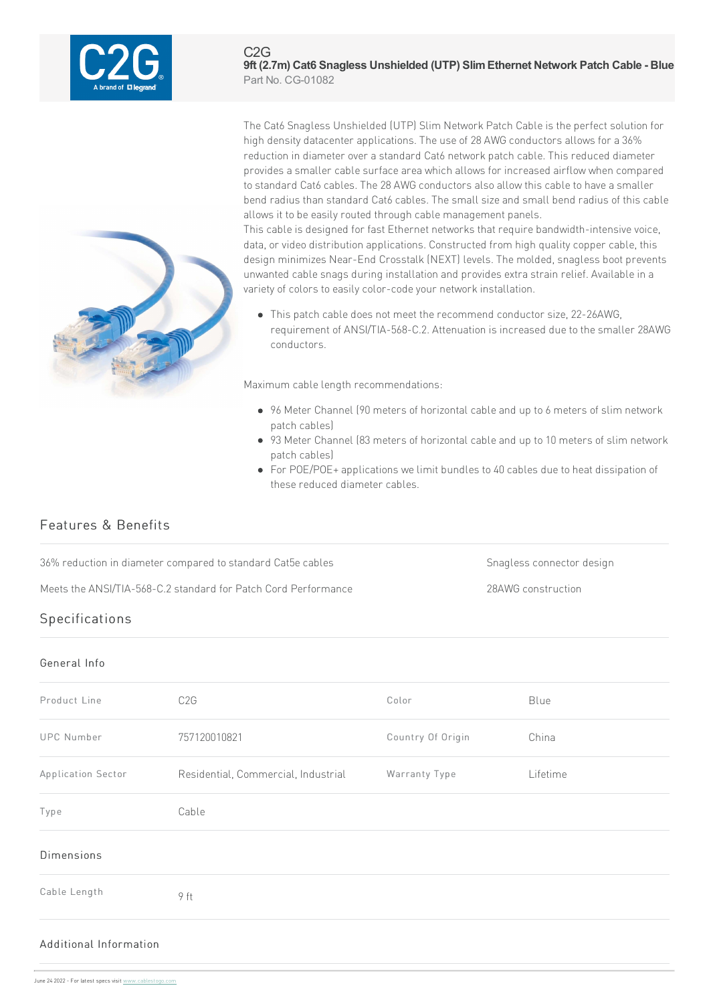

The Cat6 Snagless Unshielded (UTP) Slim Network Patch Cable is the perfect solution for high density datacenter applications. The use of 28 AWG conductors allows for a 36% reduction in diameter over a standard Cat6 network patch cable. This reduced diameter provides a smaller cable surface area which allows for increased airflow when compared to standard Cat6 cables. The 28 AWG conductors also allow this cable to have a smaller bend radius than standard Cat6 cables. The small size and small bend radius of this cable allows it to be easily routed through cable management panels.

This cable is designed for fast Ethernet networks that require bandwidth-intensive voice, data, or video distribution applications. Constructed from high quality copper cable, this design minimizes Near-End Crosstalk (NEXT) levels. The molded, snagless boot prevents unwanted cable snags during installation and provides extra strain relief. Available in a variety of colors to easily color-code your network installation.

• This patch cable does not meet the recommend conductor size, 22-26AWG, requirement of ANSI/TIA-568-C.2. Attenuation is increased due to the smaller 28AWG conductors.

Maximum cable length recommendations:

- 96 Meter Channel (90 meters of horizontal cable and up to 6 meters of slim network patch cables)
- 93 Meter Channel (83 meters of horizontal cable and up to 10 meters of slim network patch cables)
- For POE/POE+ applications we limit bundles to 40 cables due to heat dissipation of these reduced diameter cables.

# Features & Benefits

36% reduction in diameter compared to standard Cat5e cables Snagless connector design

Meets the ANSI/TIA-568-C.2 standard for Patch Cord Performance 28AWG construction

# Specifications

#### General Info

| Product Line       | C <sub>2</sub> G                    | Color             | Blue     |
|--------------------|-------------------------------------|-------------------|----------|
| <b>UPC Number</b>  | 757120010821                        | Country Of Origin | China    |
| Application Sector | Residential, Commercial, Industrial | Warranty Type     | Lifetime |
| Type               | Cable                               |                   |          |
| <b>Dimensions</b>  |                                     |                   |          |
| Cable Length       | 9 ft                                |                   |          |
|                    |                                     |                   |          |

### Additional Infor[mation](https://www.cablestogo.com)